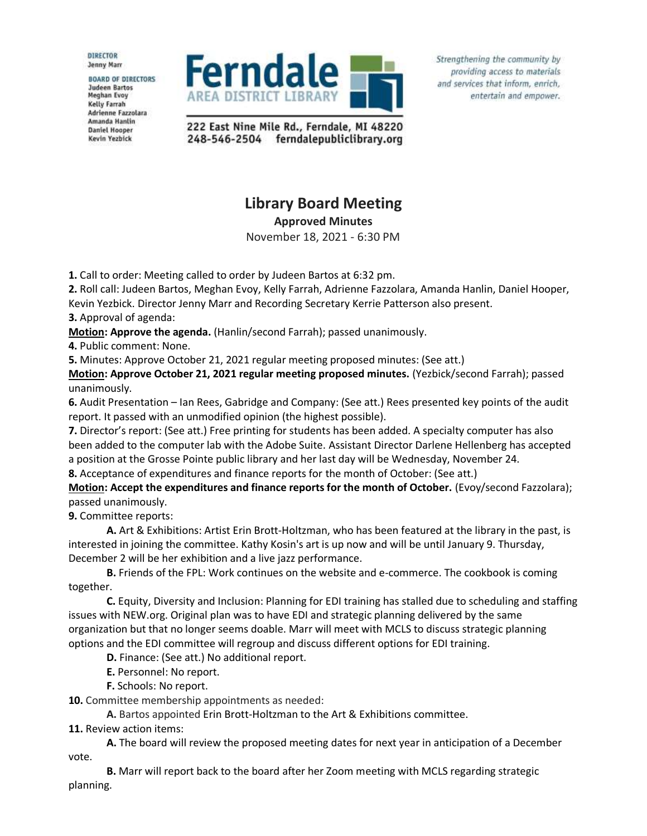**DIRECTOR** Jenny Marr

**BOARD OF DIRECTORS Judeen Bartos** Meghan Evoy **Kelly Farrah** Adrienne Fazzolara Amanda Hanlin **Daniel Hooper** Kevin Yezbick



Strengthening the community by providing access to materials and services that inform, enrich, entertain and empower.

222 East Nine Mile Rd., Ferndale, MI 48220 248-546-2504 ferndalepubliclibrary.org

## **Library Board Meeting**

**Approved Minutes**

November 18, 2021 - 6:30 PM

**1.** Call to order: Meeting called to order by Judeen Bartos at 6:32 pm.

**2.** Roll call: Judeen Bartos, Meghan Evoy, Kelly Farrah, Adrienne Fazzolara, Amanda Hanlin, Daniel Hooper, Kevin Yezbick. Director Jenny Marr and Recording Secretary Kerrie Patterson also present.

**3.** Approval of agenda:

**Motion: Approve the agenda.** (Hanlin/second Farrah); passed unanimously.

**4.** Public comment: None.

**5.** Minutes: Approve October 21, 2021 regular meeting proposed minutes: (See att.)

**Motion: Approve October 21, 2021 regular meeting proposed minutes.** (Yezbick/second Farrah); passed unanimously.

**6.** Audit Presentation – Ian Rees, Gabridge and Company: (See att.) Rees presented key points of the audit report. It passed with an unmodified opinion (the highest possible).

**7.** Director's report: (See att.) Free printing for students has been added. A specialty computer has also been added to the computer lab with the Adobe Suite. Assistant Director Darlene Hellenberg has accepted a position at the Grosse Pointe public library and her last day will be Wednesday, November 24.

**8.** Acceptance of expenditures and finance reports for the month of October: (See att.)

**Motion: Accept the expenditures and finance reports for the month of October.** (Evoy/second Fazzolara); passed unanimously.

**9.** Committee reports:

**A.** Art & Exhibitions: Artist Erin Brott-Holtzman, who has been featured at the library in the past, is interested in joining the committee. Kathy Kosin's art is up now and will be until January 9. Thursday, December 2 will be her exhibition and a live jazz performance.

**B.** Friends of the FPL: Work continues on the website and e-commerce. The cookbook is coming together.

**C.** Equity, Diversity and Inclusion: Planning for EDI training has stalled due to scheduling and staffing issues with NEW.org. Original plan was to have EDI and strategic planning delivered by the same organization but that no longer seems doable. Marr will meet with MCLS to discuss strategic planning options and the EDI committee will regroup and discuss different options for EDI training.

**D.** Finance: (See att.) No additional report.

**E.** Personnel: No report.

**F.** Schools: No report.

**10.** Committee membership appointments as needed:

**A.** Bartos appointed Erin Brott-Holtzman to the Art & Exhibitions committee.

**11.** Review action items:

**A.** The board will review the proposed meeting dates for next year in anticipation of a December vote.

**B.** Marr will report back to the board after her Zoom meeting with MCLS regarding strategic planning.